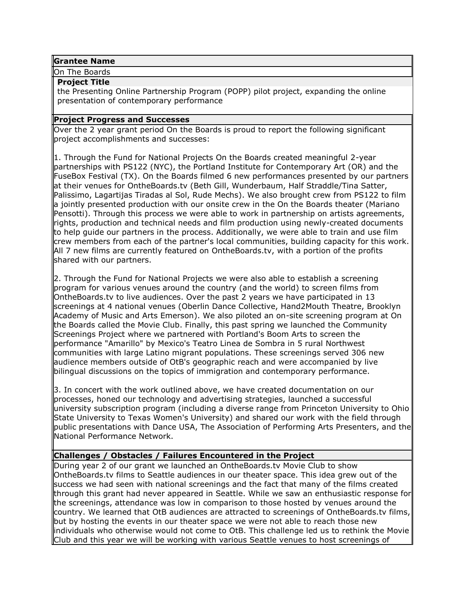#### **Grantee Name**

On The Boards

### **Project Title**

the Presenting Online Partnership Program (POPP) pilot project, expanding the online presentation of contemporary performance

# **Project Progress and Successes**

Over the 2 year grant period On the Boards is proud to report the following significant project accomplishments and successes:

1. Through the Fund for National Projects On the Boards created meaningful 2-year partnerships with PS122 (NYC), the Portland Institute for Contemporary Art (OR) and the FuseBox Festival (TX). On the Boards filmed 6 new performances presented by our partners at their venues for OntheBoards.tv (Beth Gill, Wunderbaum, Half Straddle/Tina Satter, Palissimo, Lagartijas Tiradas al Sol, Rude Mechs). We also brought crew from PS122 to film a jointly presented production with our onsite crew in the On the Boards theater (Mariano Pensotti). Through this process we were able to work in partnership on artists agreements, rights, production and technical needs and film production using newly-created documents to help guide our partners in the process. Additionally, we were able to train and use film crew members from each of the partner's local communities, building capacity for this work. All 7 new films are currently featured on OntheBoards.tv, with a portion of the profits shared with our partners.

2. Through the Fund for National Projects we were also able to establish a screening program for various venues around the country (and the world) to screen films from OntheBoards.tv to live audiences. Over the past 2 years we have participated in 13 screenings at 4 national venues (Oberlin Dance Collective, Hand2Mouth Theatre, Brooklyn Academy of Music and Arts Emerson). We also piloted an on-site screening program at On the Boards called the Movie Club. Finally, this past spring we launched the Community Screenings Project where we partnered with Portland's Boom Arts to screen the performance "Amarillo" by Mexico's Teatro Linea de Sombra in 5 rural Northwest communities with large Latino migrant populations. These screenings served 306 new audience members outside of OtB's geographic reach and were accompanied by live bilingual discussions on the topics of immigration and contemporary performance.

3. In concert with the work outlined above, we have created documentation on our processes, honed our technology and advertising strategies, launched a successful university subscription program (including a diverse range from Princeton University to Ohio State University to Texas Women's University) and shared our work with the field through public presentations with Dance USA, The Association of Performing Arts Presenters, and the National Performance Network.

# **Challenges / Obstacles / Failures Encountered in the Project**

During year 2 of our grant we launched an OntheBoards.tv Movie Club to show OntheBoards.tv films to Seattle audiences in our theater space. This idea grew out of the success we had seen with national screenings and the fact that many of the films created through this grant had never appeared in Seattle. While we saw an enthusiastic response for the screenings, attendance was low in comparison to those hosted by venues around the country. We learned that OtB audiences are attracted to screenings of OntheBoards.tv films, but by hosting the events in our theater space we were not able to reach those new individuals who otherwise would not come to OtB. This challenge led us to rethink the Movie Club and this year we will be working with various Seattle venues to host screenings of